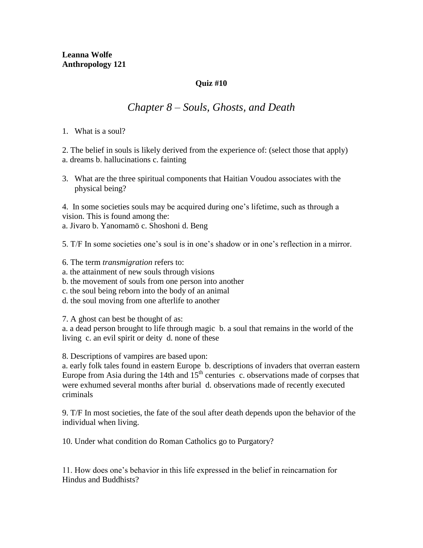## **Quiz #10**

## *Chapter 8 – Souls, Ghosts, and Death*

1. What is a soul?

2. The belief in souls is likely derived from the experience of: (select those that apply) a. dreams b. hallucinations c. fainting

3. What are the three spiritual components that Haitian Voudou associates with the physical being?

4. In some societies souls may be acquired during one's lifetime, such as through a vision. This is found among the: a. Jivaro b. Yanomamö c. Shoshoni d. Beng

5. T/F In some societies one's soul is in one's shadow or in one's reflection in a mirror.

6. The term *transmigration* refers to:

- a. the attainment of new souls through visions
- b. the movement of souls from one person into another
- c. the soul being reborn into the body of an animal
- d. the soul moving from one afterlife to another

7. A ghost can best be thought of as:

a. a dead person brought to life through magic b. a soul that remains in the world of the living c. an evil spirit or deity d. none of these

8. Descriptions of vampires are based upon:

a. early folk tales found in eastern Europe b. descriptions of invaders that overran eastern Europe from Asia during the 14th and  $15<sup>th</sup>$  centuries c. observations made of corpses that were exhumed several months after burial d. observations made of recently executed criminals

9. T/F In most societies, the fate of the soul after death depends upon the behavior of the individual when living.

10. Under what condition do Roman Catholics go to Purgatory?

11. How does one's behavior in this life expressed in the belief in reincarnation for Hindus and Buddhists?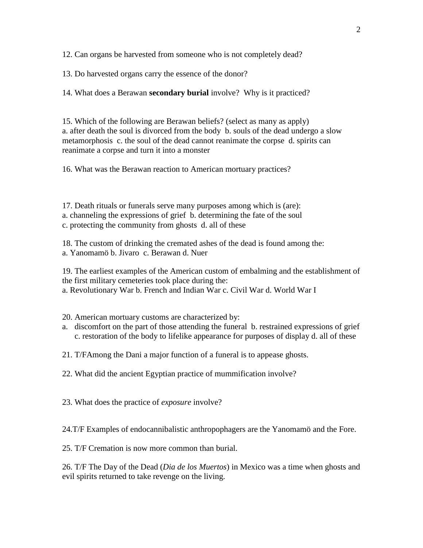12. Can organs be harvested from someone who is not completely dead?

13. Do harvested organs carry the essence of the donor?

14. What does a Berawan **secondary burial** involve? Why is it practiced?

15. Which of the following are Berawan beliefs? (select as many as apply) a. after death the soul is divorced from the body b. souls of the dead undergo a slow metamorphosis c. the soul of the dead cannot reanimate the corpse d. spirits can reanimate a corpse and turn it into a monster

16. What was the Berawan reaction to American mortuary practices?

17. Death rituals or funerals serve many purposes among which is (are): a. channeling the expressions of grief b. determining the fate of the soul c. protecting the community from ghosts d. all of these

18. The custom of drinking the cremated ashes of the dead is found among the: a. Yanomamö b. Jivaro c. Berawan d. Nuer

19. The earliest examples of the American custom of embalming and the establishment of the first military cemeteries took place during the: a. Revolutionary War b. French and Indian War c. Civil War d. World War I

20. American mortuary customs are characterized by:

a. discomfort on the part of those attending the funeral b. restrained expressions of grief c. restoration of the body to lifelike appearance for purposes of display d. all of these

21. T/FAmong the Dani a major function of a funeral is to appease ghosts.

22. What did the ancient Egyptian practice of mummification involve?

23. What does the practice of *exposure* involve?

24.T/F Examples of endocannibalistic anthropophagers are the Yanomamö and the Fore.

25. T/F Cremation is now more common than burial.

26. T/F The Day of the Dead (*Dia de los Muertos*) in Mexico was a time when ghosts and evil spirits returned to take revenge on the living.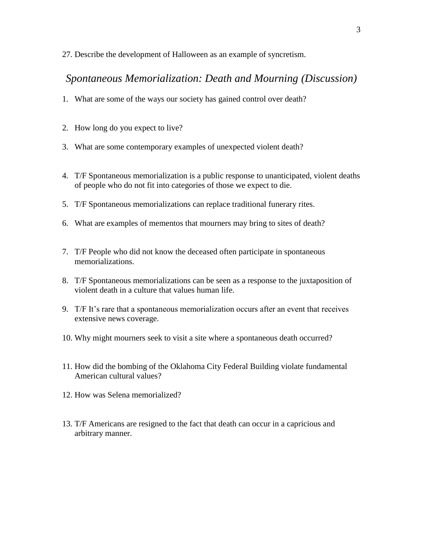27. Describe the development of Halloween as an example of syncretism.

## *Spontaneous Memorialization: Death and Mourning (Discussion)*

- 1. What are some of the ways our society has gained control over death?
- 2. How long do you expect to live?
- 3. What are some contemporary examples of unexpected violent death?
- 4. T/F Spontaneous memorialization is a public response to unanticipated, violent deaths of people who do not fit into categories of those we expect to die.
- 5. T/F Spontaneous memorializations can replace traditional funerary rites.
- 6. What are examples of mementos that mourners may bring to sites of death?
- 7. T/F People who did not know the deceased often participate in spontaneous memorializations.
- 8. T/F Spontaneous memorializations can be seen as a response to the juxtaposition of violent death in a culture that values human life.
- 9. T/F It's rare that a spontaneous memorialization occurs after an event that receives extensive news coverage.
- 10. Why might mourners seek to visit a site where a spontaneous death occurred?
- 11. How did the bombing of the Oklahoma City Federal Building violate fundamental American cultural values?
- 12. How was Selena memorialized?
- 13. T/F Americans are resigned to the fact that death can occur in a capricious and arbitrary manner.